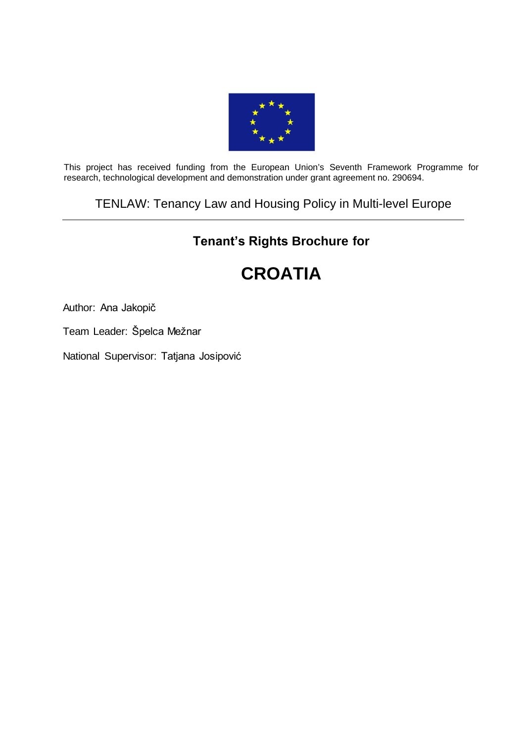

This project has received funding from the European Union's Seventh Framework Programme for research, technological development and demonstration under grant agreement no. 290694.

## TENLAW: Tenancy Law and Housing Policy in Multi-level Europe

# **Tenant's Rights Brochure for**

# **CROATIA**

Author: Ana Jakopič

Team Leader: Špelca Mežnar

National Supervisor: Tatjana Josipović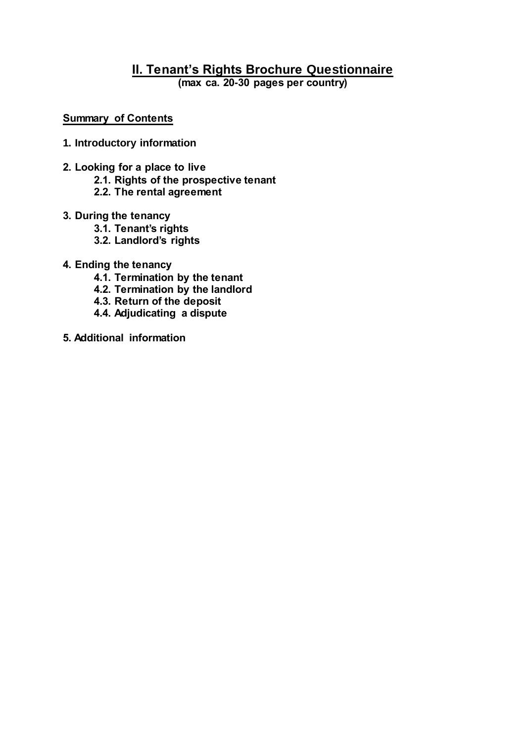# **II. Tenant's Rights Brochure Questionnaire**

**(max ca. 20-30 pages per country)**

#### **Summary of Contents**

- **1. Introductory information**
- **2. Looking for a place to live**
	- **2.1. Rights of the prospective tenant**
	- **2.2. The rental agreement**
- **3. During the tenancy**
	- **3.1. Tenant's rights**
	- **3.2. Landlord's rights**
- **4. Ending the tenancy**
	- **4.1. Termination by the tenant**
	- **4.2. Termination by the landlord**
	- **4.3. Return of the deposit**
	- **4.4. Adjudicating a dispute**
- **5. Additional information**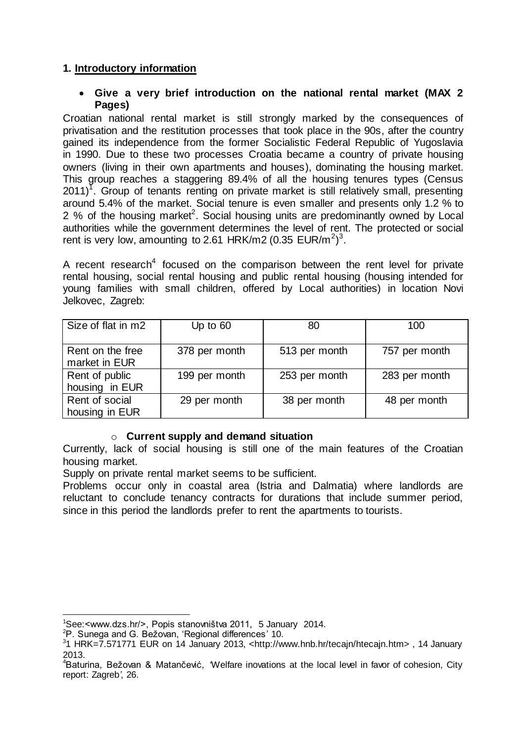## **1. Introductory information**

#### **Give a very brief introduction on the national rental market (MAX 2 Pages)**

Croatian national rental market is still strongly marked by the consequences of privatisation and the restitution processes that took place in the 90s, after the country gained its independence from the former Socialistic Federal Republic of Yugoslavia in 1990. Due to these two processes Croatia became a country of private housing owners (living in their own apartments and houses), dominating the housing market. This group reaches a staggering 89.4% of all the housing tenures types (Census  $2011$ <sup>T</sup>. Group of tenants renting on private market is still relatively small, presenting around 5.4% of the market. Social tenure is even smaller and presents only 1.2 % to 2 % of the housing market<sup>2</sup>. Social housing units are predominantly owned by Local authorities while the government determines the level of rent. The protected or social rent is very low, amounting to 2.61 HRK/m2 (0.35 EUR/m<sup>2</sup>)<sup>3</sup>.

A recent research<sup>4</sup> focused on the comparison between the rent level for private rental housing, social rental housing and public rental housing (housing intended for young families with small children, offered by Local authorities) in location Novi Jelkovec, Zagreb:

| Size of flat in m2                | Up to $60$    | 80            | 100           |
|-----------------------------------|---------------|---------------|---------------|
| Rent on the free<br>market in EUR | 378 per month | 513 per month | 757 per month |
| Rent of public<br>housing in EUR  | 199 per month | 253 per month | 283 per month |
| Rent of social<br>housing in EUR  | 29 per month  | 38 per month  | 48 per month  |

## o **Current supply and demand situation**

Currently, lack of social housing is still one of the main features of the Croatian housing market.

Supply on private rental market seems to be sufficient.

Problems occur only in coastal area (Istria and Dalmatia) where landlords are reluctant to conclude tenancy contracts for durations that include summer period, since in this period the landlords prefer to rent the apartments to tourists.

<sup>1</sup> <sup>1</sup>See:<www.dzs.hr/>, Popis stanovništva 2011, 5 January 2014.

<sup>2</sup>P. Sunega and G. Bežovan, 'Regional differences' 10.

<sup>3</sup> 1 HRK=7.571771 EUR on 14 January 2013, <http://www.hnb.hr/tecajn/htecajn.htm> , 14 January 2013.

<sup>4</sup>Baturina, Bežovan & Matančević, *'*Welfare inovations at the local level in favor of cohesion, City report: Zagreb*'*, 26.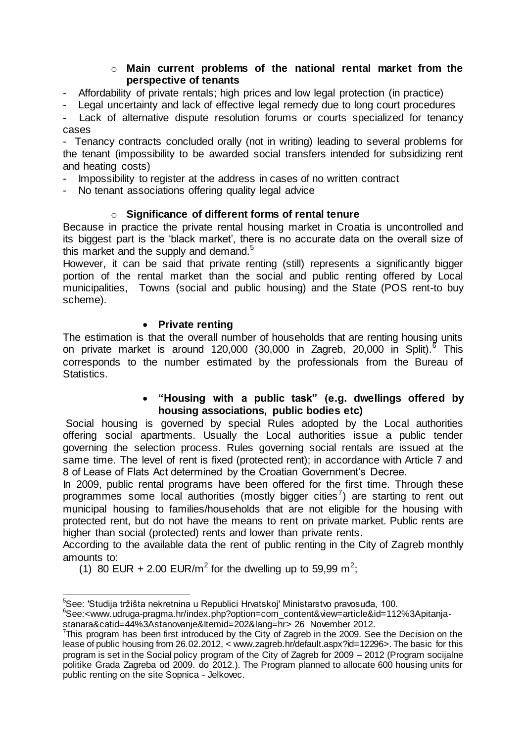#### o **Main current problems of the national rental market from the perspective of tenants**

- Affordability of private rentals; high prices and low legal protection (in practice)

Legal uncertainty and lack of effective legal remedy due to long court procedures

Lack of alternative dispute resolution forums or courts specialized for tenancy cases

- Tenancy contracts concluded orally (not in writing) leading to several problems for the tenant (impossibility to be awarded social transfers intended for subsidizing rent and heating costs)

- Impossibility to register at the address in cases of no written contract

No tenant associations offering quality legal advice

## o **Significance of different forms of rental tenure**

Because in practice the private rental housing market in Croatia is uncontrolled and its biggest part is the 'black market', there is no accurate data on the overall size of this market and the supply and demand.<sup>5</sup>

However, it can be said that private renting (still) represents a significantly bigger portion of the rental market than the social and public renting offered by Local municipalities, Towns (social and public housing) and the State (POS rent-to buy scheme).

## **•** Private renting

The estimation is that the overall number of households that are renting housing units on private market is around 120,000 (30,000 in Zagreb, 20,000 in Split).<sup>6</sup> This corresponds to the number estimated by the professionals from the Bureau of Statistics.

## **"Housing with a public task" (e.g. dwellings offered by housing associations, public bodies etc)**

Social housing is governed by special Rules adopted by the Local authorities offering social apartments. Usually the Local authorities issue a public tender governing the selection process. Rules governing social rentals are issued at the same time. The level of rent is fixed (protected rent); in accordance with Article 7 and 8 of Lease of Flats Act determined by the Croatian Government's Decree.

In 2009, public rental programs have been offered for the first time. Through these programmes some local authorities (mostly bigger cities<sup>7</sup>) are starting to rent out municipal housing to families/households that are not eligible for the housing with protected rent, but do not have the means to rent on private market. Public rents are higher than social (protected) rents and lower than private rents.

According to the available data the rent of public renting in the City of Zagreb monthly amounts to:

(1) 80 EUR + 2.00 EUR/m<sup>2</sup> for the dwelling up to 59,99 m<sup>2</sup>;

 $\overline{a}$ <sup>5</sup>See: 'Studija tržišta nekretnina u Republici Hrvatskoj' Ministarstvo pravosuđa, 100.

<sup>6</sup>See:[<www.udruga-pragma.hr/index.php?option=com\\_content&view=article&id=112%3Apitanja](http://www.udruga-pragma.hr/index.php?option=com_content&view=article&id=112%3Apitanja-stanara&catid=44%3Astanovanje&Itemid=202&lang=hr)[stanara&catid=44%3Astanovanje&Itemid=202&lang=h](http://www.udruga-pragma.hr/index.php?option=com_content&view=article&id=112%3Apitanja-stanara&catid=44%3Astanovanje&Itemid=202&lang=hr)r> 26 November 2012.

 $7$ This program has been first introduced by the City of Zagreb in the 2009. See the Decision on the lease of public housing from 26.02.2012, < www.zagreb.hr/default.aspx?id=12296>. The basic for this program is set in the Social policy program of the City of Zagreb for 2009 – 2012 (Program socijalne politike Grada Zagreba od 2009. do 2012.). The Program planned to allocate 600 housing units for public renting on the site Sopnica - Jelkovec.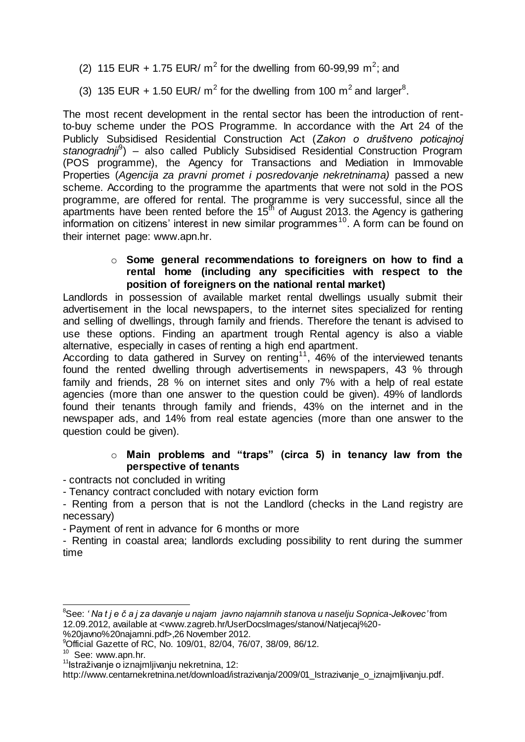- (2) 115 EUR + 1.75 EUR/  $m^2$  for the dwelling from 60-99,99  $m^2$ ; and
- (3) 135 EUR + 1.50 EUR/  $m^2$  for the dwelling from 100  $m^2$  and larger<sup>8</sup>.

The most recent development in the rental sector has been the introduction of rentto-buy scheme under the POS Programme. In accordance with the Art 24 of the Publicly Subsidised Residential Construction Act (*Zakon o društveno poticajnoj*  stanogradnji<sup>9</sup>) - also called Publicly Subsidised Residential Construction Program (POS programme), the Agency for Transactions and Mediation in Immovable Properties (*Agencija za pravni promet i posredovanje nekretninama)* passed a new scheme. According to the programme the apartments that were not sold in the POS programme, are offered for rental. The programme is very successful, since all the apartments have been rented before the  $15<sup>th</sup>$  of August 2013. the Agency is gathering information on citizens' interest in new similar programmes<sup>10</sup>. A form can be found on their internet page: www.apn.hr.

#### o **Some general recommendations to foreigners on how to find a rental home (including any specificities with respect to the position of foreigners on the national rental market)**

Landlords in possession of available market rental dwellings usually submit their advertisement in the local newspapers, to the internet sites specialized for renting and selling of dwellings, through family and friends. Therefore the tenant is advised to use these options. Finding an apartment trough Rental agency is also a viable alternative, especially in cases of renting a high end apartment.

According to data gathered in Survey on renting<sup>11</sup>, 46% of the interviewed tenants found the rented dwelling through advertisements in newspapers, 43 % through family and friends, 28 % on internet sites and only 7% with a help of real estate agencies (more than one answer to the question could be given). 49% of landlords found their tenants through family and friends, 43% on the internet and in the newspaper ads, and 14% from real estate agencies (more than one answer to the question could be given).

## o **Main problems and "traps" (circa 5) in tenancy law from the perspective of tenants**

- contracts not concluded in writing

- Tenancy contract concluded with notary eviction form

- Renting from a person that is not the Landlord (checks in the Land registry are necessary)

- Payment of rent in advance for 6 months or more

- Renting in coastal area; landlords excluding possibility to rent during the summer time

<sup>9</sup>Official Gazette of RC, No. 109/01, 82/04, 76/07, 38/09, 86/12.

 $\overline{a}$ 

<sup>8</sup>See: *' Na t j e č a j za davanje u najam javno najamnih stanova u naselju Sopnica-Jelkovec'* from 12.09.2012, available at <www.zagreb.hr/UserDocsImages/stanovi/Natjecaj%20- %20javno%20najamni.pdf>,26 November 2012.

<sup>&</sup>lt;sup>10</sup> See: www.apn.hr.

<sup>&</sup>lt;sup>11</sup>Istraživanje o iznajmljivanju nekretnina, 12:

http://www.centarnekretnina.net/download/istrazivanja/2009/01 Istrazivanje\_o\_iznajmljivanju.pdf.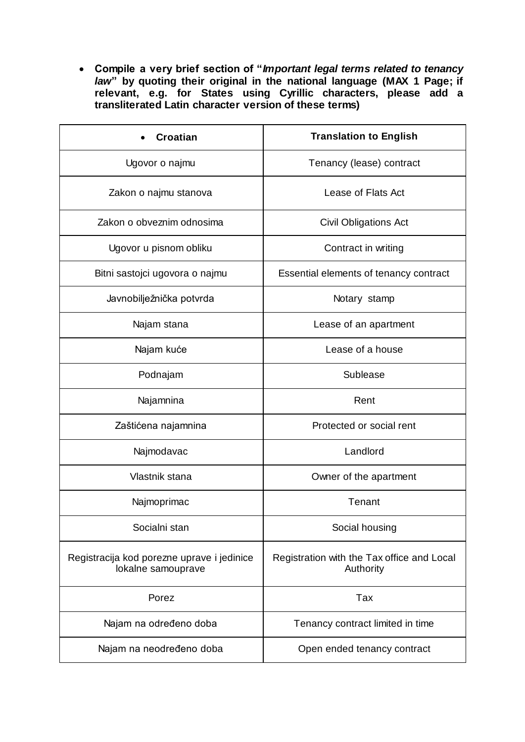**Compile a very brief section of "***Important legal terms related to tenancy law***" by quoting their original in the national language (MAX 1 Page; if relevant, e.g. for States using Cyrillic characters, please add a transliterated Latin character version of these terms)** 

| <b>Croatian</b>                                                  | <b>Translation to English</b>                           |  |
|------------------------------------------------------------------|---------------------------------------------------------|--|
| Ugovor o najmu                                                   | Tenancy (lease) contract                                |  |
| Zakon o najmu stanova                                            | Lease of Flats Act                                      |  |
| Zakon o obveznim odnosima                                        | <b>Civil Obligations Act</b>                            |  |
| Ugovor u pisnom obliku                                           | Contract in writing                                     |  |
| Bitni sastojci ugovora o najmu                                   | Essential elements of tenancy contract                  |  |
| Javnobilježnička potvrda                                         | Notary stamp                                            |  |
| Najam stana                                                      | Lease of an apartment                                   |  |
| Najam kuće                                                       | Lease of a house                                        |  |
| Podnajam                                                         | Sublease                                                |  |
| Najamnina                                                        | Rent                                                    |  |
| Zaštićena najamnina                                              | Protected or social rent                                |  |
| Najmodavac                                                       | Landlord                                                |  |
| Vlastnik stana                                                   | Owner of the apartment                                  |  |
| Najmoprimac                                                      | Tenant                                                  |  |
| Socialni stan                                                    | Social housing                                          |  |
| Registracija kod porezne uprave i jedinice<br>lokalne samouprave | Registration with the Tax office and Local<br>Authority |  |
| Porez                                                            | Tax                                                     |  |
| Najam na određeno doba                                           | Tenancy contract limited in time                        |  |
| Najam na neodređeno doba                                         | Open ended tenancy contract                             |  |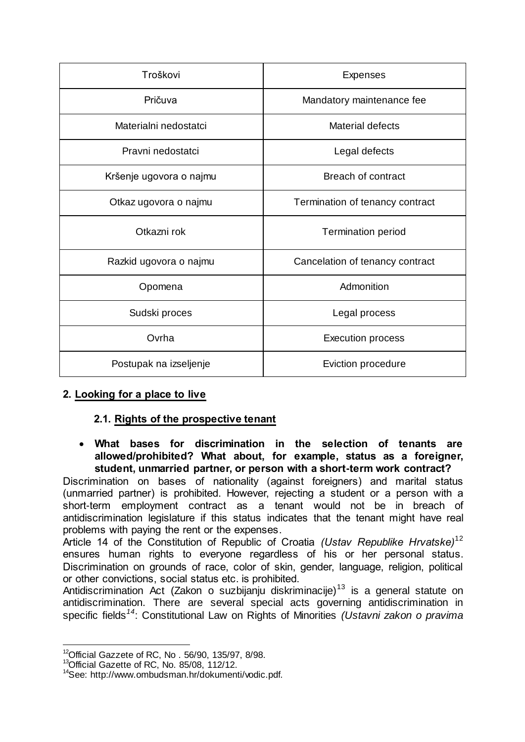| Troškovi                | <b>Expenses</b>                 |  |
|-------------------------|---------------------------------|--|
| Pričuva                 | Mandatory maintenance fee       |  |
| Materialni nedostatci   | <b>Material defects</b>         |  |
| Pravni nedostatci       | Legal defects                   |  |
| Kršenje ugovora o najmu | Breach of contract              |  |
| Otkaz ugovora o najmu   | Termination of tenancy contract |  |
| Otkazni rok             | <b>Termination period</b>       |  |
| Razkid ugovora o najmu  | Cancelation of tenancy contract |  |
| Opomena                 | Admonition                      |  |
| Sudski proces           | Legal process                   |  |
| Ovrha                   | <b>Execution process</b>        |  |
| Postupak na izseljenje  | Eviction procedure              |  |

## **2. Looking for a place to live**

## **2.1. Rights of the prospective tenant**

 **What bases for discrimination in the selection of tenants are allowed/prohibited? What about, for example, status as a foreigner, student, unmarried partner, or person with a short-term work contract?**

Discrimination on bases of nationality (against foreigners) and marital status (unmarried partner) is prohibited. However, rejecting a student or a person with a short-term employment contract as a tenant would not be in breach of antidiscrimination legislature if this status indicates that the tenant might have real problems with paying the rent or the expenses.

Article 14 of the Constitution of Republic of Croatia *(Ustav Republike Hrvatske)*<sup>12</sup> ensures human rights to everyone regardless of his or her personal status. Discrimination on grounds of race, color of skin, gender, language, religion, political or other convictions, social status etc. is prohibited.

Antidiscrimination Act (Zakon o suzbijanju diskriminacije) $13$  is a general statute on antidiscrimination. There are several special acts governing antidiscrimination in specific fields*<sup>14</sup>*: Constitutional Law on Rights of Minorities *(Ustavni zakon o pravima* 

-

 $12$ Official Gazzete of RC, No . 56/90, 135/97, 8/98.

<sup>&</sup>lt;sup>13</sup>Official Gazette of RC, No. 85/08, 112/12.

<sup>14</sup>See: http://www.ombudsman.hr/dokumenti/vodic.pdf.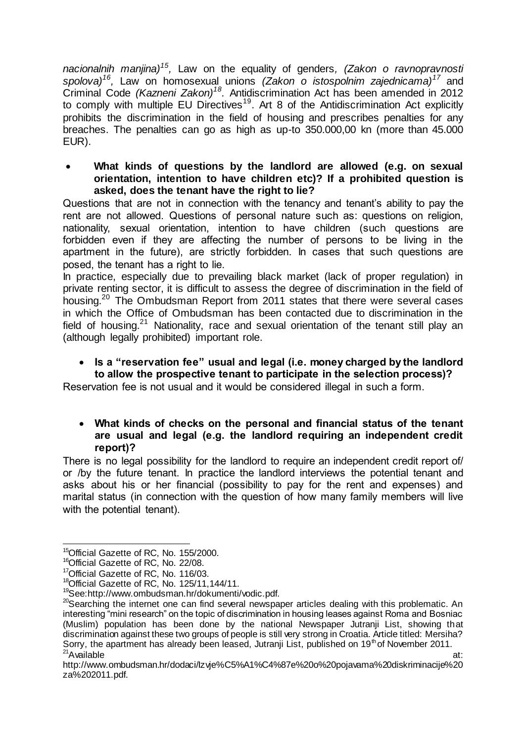*nacionalnih manjina)<sup>15</sup> ,* Law on the equality of genders*, (Zakon o ravnopravnosti spolova)<sup>16</sup> ,* Law on homosexual unions *(Zakon o istospolnim zajednicama)<sup>17</sup>* and Criminal Code *(Kazneni Zakon)<sup>18</sup> .* Antidiscrimination Act has been amended in 2012 to comply with multiple EU Directives<sup>19</sup>. Art 8 of the Antidiscrimination Act explicitly prohibits the discrimination in the field of housing and prescribes penalties for any breaches. The penalties can go as high as up-to 350.000,00 kn (more than 45.000 EUR).

 **What kinds of questions by the landlord are allowed (e.g. on sexual orientation, intention to have children etc)? If a prohibited question is asked, does the tenant have the right to lie?**

Questions that are not in connection with the tenancy and tenant's ability to pay the rent are not allowed. Questions of personal nature such as: questions on religion, nationality, sexual orientation, intention to have children (such questions are forbidden even if they are affecting the number of persons to be living in the apartment in the future), are strictly forbidden. In cases that such questions are posed, the tenant has a right to lie.

In practice, especially due to prevailing black market (lack of proper regulation) in private renting sector, it is difficult to assess the degree of discrimination in the field of housing.<sup>20</sup> The Ombudsman Report from 2011 states that there were several cases in which the Office of Ombudsman has been contacted due to discrimination in the field of housing.<sup>21</sup> Nationality, race and sexual orientation of the tenant still play an (although legally prohibited) important role.

#### **Is a "reservation fee" usual and legal (i.e. money charged by the landlord to allow the prospective tenant to participate in the selection process)?**

Reservation fee is not usual and it would be considered illegal in such a form.

## **What kinds of checks on the personal and financial status of the tenant are usual and legal (e.g. the landlord requiring an independent credit report)?**

There is no legal possibility for the landlord to require an independent credit report of/ or /by the future tenant. In practice the landlord interviews the potential tenant and asks about his or her financial (possibility to pay for the rent and expenses) and marital status (in connection with the question of how many family members will live with the potential tenant).

 $\overline{a}$ <sup>15</sup>Official Gazette of RC, No. 155/2000.

<sup>&</sup>lt;sup>16</sup>Official Gazette of RC, No. 22/08.

<sup>&</sup>lt;sup>17</sup>Official Gazette of RC, No. 116/03.

<sup>&</sup>lt;sup>18</sup>Official Gazette of RC, No. 125/11, 144/11.

<sup>19</sup>See:http://www.ombudsman.hr/dokumenti/vodic.pdf.

<sup>&</sup>lt;sup>20</sup>Searching the internet one can find several newspaper articles dealing with this problematic. An interesting "mini research" on the topic of discrimination in housing leases against Roma and Bosniac (Muslim) population has been done by the national Newspaper Jutranji List, showing that discrimination against these two groups of people is still very strong in Croatia. Article titled: Mersiha? Sorry, the apartment has already been leased, Jutranji List, published on 19<sup>th</sup> of November 2011.  $21$ Available at:  $21$ Available at:  $21$ 

http://www.ombudsman.hr/dodaci/Izvje%C5%A1%C4%87e%20o%20pojavama%20diskriminacije%20 za%202011.pdf.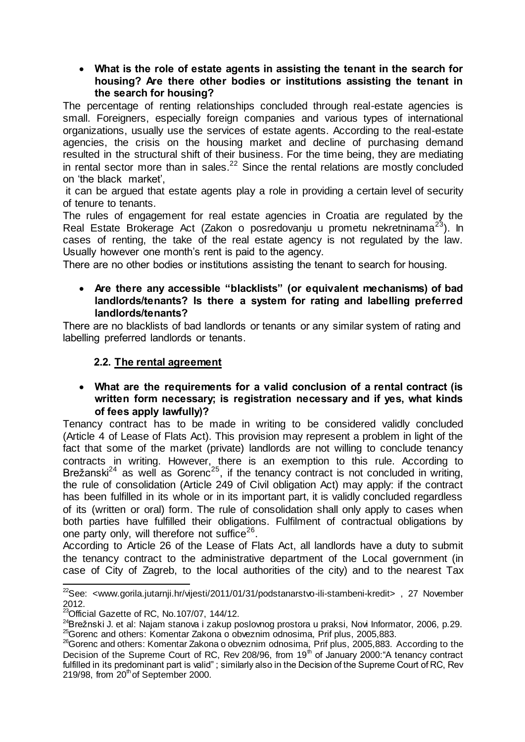#### **What is the role of estate agents in assisting the tenant in the search for housing? Are there other bodies or institutions assisting the tenant in the search for housing?**

The percentage of renting relationships concluded through real-estate agencies is small. Foreigners, especially foreign companies and various types of international organizations, usually use the services of estate agents. According to the real-estate agencies, the crisis on the housing market and decline of purchasing demand resulted in the structural shift of their business. For the time being, they are mediating in rental sector more than in sales. $22$  Since the rental relations are mostly concluded on 'the black market',

it can be argued that estate agents play a role in providing a certain level of security of tenure to tenants.

The rules of engagement for real estate agencies in Croatia are regulated by the Real Estate Brokerage Act (Zakon o posredovaniu u prometu nekretninama<sup>23</sup>). In cases of renting, the take of the real estate agency is not regulated by the law. Usually however one month's rent is paid to the agency.

There are no other bodies or institutions assisting the tenant to search for housing.

#### **Are there any accessible "blacklists" (or equivalent mechanisms) of bad landlords/tenants? Is there a system for rating and labelling preferred landlords/tenants?**

There are no blacklists of bad landlords or tenants or any similar system of rating and labelling preferred landlords or tenants.

## **2.2. The rental agreement**

#### **What are the requirements for a valid conclusion of a rental contract (is written form necessary; is registration necessary and if yes, what kinds of fees apply lawfully)?**

Tenancy contract has to be made in writing to be considered validly concluded (Article 4 of Lease of Flats Act). This provision may represent a problem in light of the fact that some of the market (private) landlords are not willing to conclude tenancy contracts in writing. However, there is an exemption to this rule. According to Brežanski<sup>24</sup> as well as Gorenc<sup>25</sup>, if the tenancy contract is not concluded in writing, the rule of consolidation (Article 249 of Civil obligation Act) may apply: if the contract has been fulfilled in its whole or in its important part, it is validly concluded regardless of its (written or oral) form. The rule of consolidation shall only apply to cases when both parties have fulfilled their obligations. Fulfilment of contractual obligations by one party only, will therefore not suffice $26$ .

According to Article 26 of the Lease of Flats Act, all landlords have a duty to submit the tenancy contract to the administrative department of the Local government (in case of City of Zagreb, to the local authorities of the city) and to the nearest Tax

 $\overline{a}$ <sup>22</sup>See: <www.gorila.jutarnji.hr/vijesti/2011/01/31/podstanarstvo-ili-stambeni-kredit>, 27 November 2012.

 $^{23}$ Official Gazette of RC, No.107/07, 144/12.

<sup>&</sup>lt;sup>24</sup>Brežnski J. et al: Najam stanova i zakup poslovnog prostora u praksi, Novi Informator, 2006, p.29. <sup>25</sup>Gorenc and others: Komentar Zakona o obveznim odnosima, Prif plus, 2005,883.

<sup>&</sup>lt;sup>26</sup>Gorenc and others: Komentar Zakona o obveznim odnosima, Prif plus, 2005,883. According to the Decision of the Supreme Court of RC, Rev 208/96, from 19<sup>th</sup> of January 2000: "A tenancy contract fulfilled in its predominant part is valid" ; similarly also in the Decision of the Supreme Court of RC, Rev  $219/98$ , from  $20<sup>th</sup>$  of September 2000.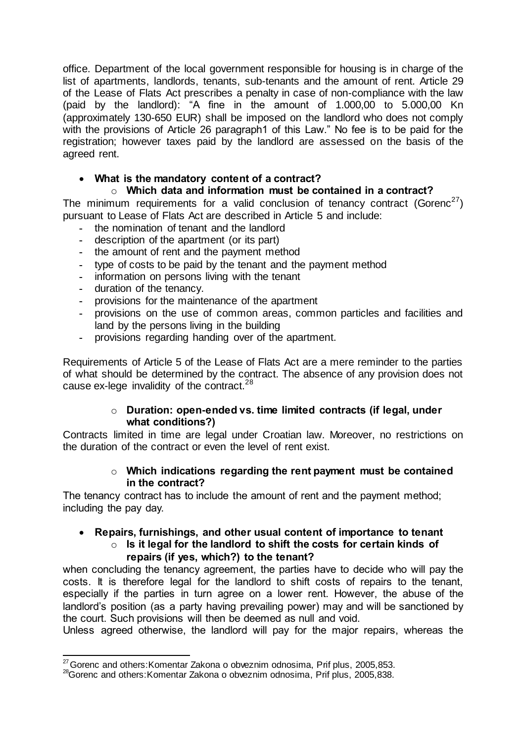office. Department of the local government responsible for housing is in charge of the list of apartments, landlords, tenants, sub-tenants and the amount of rent. Article 29 of the Lease of Flats Act prescribes a penalty in case of non-compliance with the law (paid by the landlord): "A fine in the amount of 1.000,00 to 5.000,00 Kn (approximately 130-650 EUR) shall be imposed on the landlord who does not comply with the provisions of Article 26 paragraph1 of this Law." No fee is to be paid for the registration; however taxes paid by the landlord are assessed on the basis of the agreed rent.

## **What is the mandatory content of a contract?**

## o **Which data and information must be contained in a contract?**

The minimum requirements for a valid conclusion of tenancy contract (Gorenc<sup>27</sup>) pursuant to Lease of Flats Act are described in Article 5 and include:

- **-** the nomination of tenant and the landlord
- **-** description of the apartment (or its part)
- **-** the amount of rent and the payment method
- **-** type of costs to be paid by the tenant and the payment method
- **-** information on persons living with the tenant
- **-** duration of the tenancy.
- **-** provisions for the maintenance of the apartment
- **-** provisions on the use of common areas, common particles and facilities and land by the persons living in the building
- **-** provisions regarding handing over of the apartment.

Requirements of Article 5 of the Lease of Flats Act are a mere reminder to the parties of what should be determined by the contract. The absence of any provision does not cause ex-lege invalidity of the contract.<sup>28</sup>

## o **Duration: open-ended vs. time limited contracts (if legal, under what conditions?)**

Contracts limited in time are legal under Croatian law. Moreover, no restrictions on the duration of the contract or even the level of rent exist.

## o **Which indications regarding the rent payment must be contained in the contract?**

The tenancy contract has to include the amount of rent and the payment method; including the pay day.

#### **Repairs, furnishings, and other usual content of importance to tenant** o **Is it legal for the landlord to shift the costs for certain kinds of**

**repairs (if yes, which?) to the tenant?**

when concluding the tenancy agreement, the parties have to decide who will pay the costs. It is therefore legal for the landlord to shift costs of repairs to the tenant, especially if the parties in turn agree on a lower rent. However, the abuse of the landlord's position (as a party having prevailing power) may and will be sanctioned by the court. Such provisions will then be deemed as null and void.

Unless agreed otherwise, the landlord will pay for the major repairs, whereas the

<sup>-</sup> $^{27}$  Gorenc and others: Komentar Zakona o obveznim odnosima, Prif plus, 2005, 853.

<sup>&</sup>lt;sup>28</sup>Gorenc and others: Komentar Zakona o obveznim odnosima, Prif plus, 2005,838.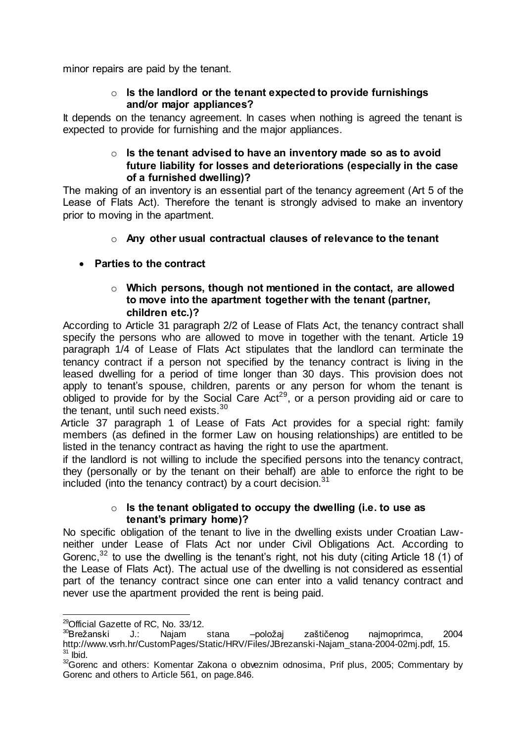minor repairs are paid by the tenant.

#### o **Is the landlord or the tenant expected to provide furnishings and/or major appliances?**

It depends on the tenancy agreement. In cases when nothing is agreed the tenant is expected to provide for furnishing and the major appliances.

## o **Is the tenant advised to have an inventory made so as to avoid future liability for losses and deteriorations (especially in the case of a furnished dwelling)?**

The making of an inventory is an essential part of the tenancy agreement (Art 5 of the Lease of Flats Act). Therefore the tenant is strongly advised to make an inventory prior to moving in the apartment.

## o **Any other usual contractual clauses of relevance to the tenant**

## **Parties to the contract**

## o **Which persons, though not mentioned in the contact, are allowed to move into the apartment together with the tenant (partner, children etc.)?**

According to Article 31 paragraph 2/2 of Lease of Flats Act, the tenancy contract shall specify the persons who are allowed to move in together with the tenant. Article 19 paragraph 1/4 of Lease of Flats Act stipulates that the landlord can terminate the tenancy contract if a person not specified by the tenancy contract is living in the leased dwelling for a period of time longer than 30 days. This provision does not apply to tenant's spouse, children, parents or any person for whom the tenant is obliged to provide for by the Social Care  $Act^{29}$ , or a person providing aid or care to the tenant, until such need exists.<sup>30</sup>

 Article 37 paragraph 1 of Lease of Fats Act provides for a special right: family members (as defined in the former Law on housing relationships) are entitled to be listed in the tenancy contract as having the right to use the apartment.

if the landlord is not willing to include the specified persons into the tenancy contract, they (personally or by the tenant on their behalf) are able to enforce the right to be included (into the tenancy contract) by a court decision. $31$ 

#### o **Is the tenant obligated to occupy the dwelling (i.e. to use as tenant's primary home)?**

No specific obligation of the tenant to live in the dwelling exists under Croatian Lawneither under Lease of Flats Act nor under Civil Obligations Act. According to Gorenc,  $32$  to use the dwelling is the tenant's right, not his duty (citing Article 18 (1) of the Lease of Flats Act). The actual use of the dwelling is not considered as essential part of the tenancy contract since one can enter into a valid tenancy contract and never use the apartment provided the rent is being paid.

1

<sup>&</sup>lt;sup>29</sup>Official Gazette of RC, No. 33/12.

<sup>30</sup>Brežanski J.: Najam stana –položaj zaštičenog najmoprimca, 2004 http://www.vsrh.hr/CustomPages/Static/HRV/Files/JBrezanski-Najam\_stana-2004-02mj.pdf, 15.  $31$  lbid.

<sup>&</sup>lt;sup>32</sup>Gorenc and others: Komentar Zakona o obveznim odnosima, Prif plus, 2005; Commentary by Gorenc and others to Article 561, on page.846.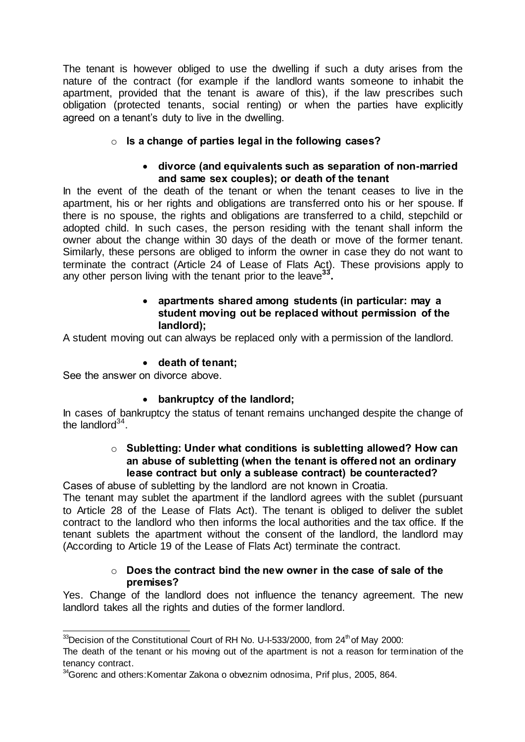The tenant is however obliged to use the dwelling if such a duty arises from the nature of the contract (for example if the landlord wants someone to inhabit the apartment, provided that the tenant is aware of this), if the law prescribes such obligation (protected tenants, social renting) or when the parties have explicitly agreed on a tenant's duty to live in the dwelling.

## o **Is a change of parties legal in the following cases?**

## **divorce (and equivalents such as separation of non-married and same sex couples); or death of the tenant**

In the event of the death of the tenant or when the tenant ceases to live in the apartment, his or her rights and obligations are transferred onto his or her spouse. If there is no spouse, the rights and obligations are transferred to a child, stepchild or adopted child. In such cases, the person residing with the tenant shall inform the owner about the change within 30 days of the death or move of the former tenant. Similarly, these persons are obliged to inform the owner in case they do not want to terminate the contract (Article 24 of Lease of Flats Act). These provisions apply to any other person living with the tenant prior to the leave**<sup>33</sup> .**

## **apartments shared among students (in particular: may a student moving out be replaced without permission of the landlord);**

A student moving out can always be replaced only with a permission of the landlord.

## **death of tenant;**

See the answer on divorce above.

## **bankruptcy of the landlord;**

In cases of bankruptcy the status of tenant remains unchanged despite the change of the landlord $34$ .

## o **Subletting: Under what conditions is subletting allowed? How can an abuse of subletting (when the tenant is offered not an ordinary lease contract but only a sublease contract) be counteracted?**

Cases of abuse of subletting by the landlord are not known in Croatia.

The tenant may sublet the apartment if the landlord agrees with the sublet (pursuant to Article 28 of the Lease of Flats Act). The tenant is obliged to deliver the sublet contract to the landlord who then informs the local authorities and the tax office. If the tenant sublets the apartment without the consent of the landlord, the landlord may (According to Article 19 of the Lease of Flats Act) terminate the contract.

## o **Does the contract bind the new owner in the case of sale of the premises?**

Yes. Change of the landlord does not influence the tenancy agreement. The new landlord takes all the rights and duties of the former landlord.

 $\overline{a}$  $33$ Decision of the Constitutional Court of RH No. U-I-533/2000, from 24<sup>th</sup> of May 2000:

The death of the tenant or his moving out of the apartment is not a reason for termination of the tenancy contract.

<sup>&</sup>lt;sup>34</sup>Gorenc and others: Komentar Zakona o obveznim odnosima, Prif plus, 2005, 864.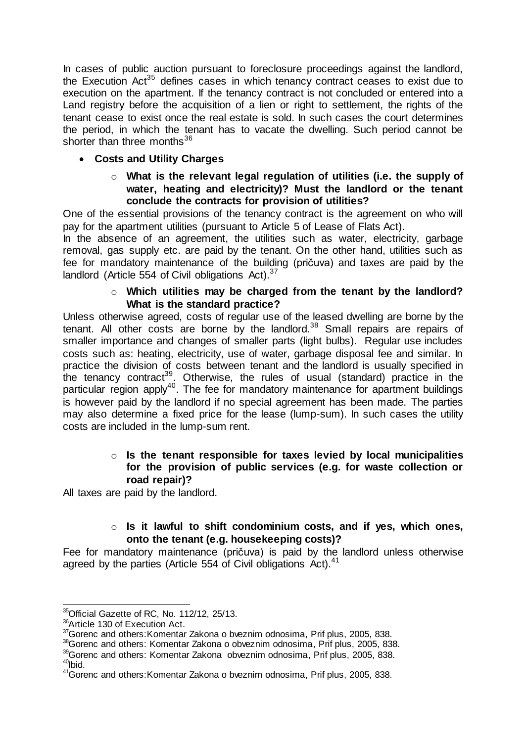In cases of public auction pursuant to foreclosure proceedings against the landlord, the Execution Act<sup>35</sup> defines cases in which tenancy contract ceases to exist due to execution on the apartment. If the tenancy contract is not concluded or entered into a Land registry before the acquisition of a lien or right to settlement, the rights of the tenant cease to exist once the real estate is sold. In such cases the court determines the period, in which the tenant has to vacate the dwelling. Such period cannot be shorter than three months $36$ 

## **Costs and Utility Charges**

o **What is the relevant legal regulation of utilities (i.e. the supply of water, heating and electricity)? Must the landlord or the tenant conclude the contracts for provision of utilities?**

One of the essential provisions of the tenancy contract is the agreement on who will pay for the apartment utilities (pursuant to Article 5 of Lease of Flats Act).

In the absence of an agreement, the utilities such as water, electricity, garbage removal, gas supply etc. are paid by the tenant. On the other hand, utilities such as fee for mandatory maintenance of the building (pričuva) and taxes are paid by the landlord (Article 554 of Civil obligations Act).<sup>37</sup>

#### o **Which utilities may be charged from the tenant by the landlord? What is the standard practice?**

Unless otherwise agreed, costs of regular use of the leased dwelling are borne by the tenant. All other costs are borne by the landlord. $38$  Small repairs are repairs of smaller importance and changes of smaller parts (light bulbs). Regular use includes costs such as: heating, electricity, use of water, garbage disposal fee and similar. In practice the division of costs between tenant and the landlord is usually specified in the tenancy contract<sup>39</sup>. Otherwise, the rules of usual (standard) practice in the particular region apply<sup>40</sup>. The fee for mandatory maintenance for apartment buildings is however paid by the landlord if no special agreement has been made. The parties may also determine a fixed price for the lease (lump-sum). In such cases the utility costs are included in the lump-sum rent.

## o **Is the tenant responsible for taxes levied by local municipalities for the provision of public services (e.g. for waste collection or road repair)?**

All taxes are paid by the landlord.

## o **Is it lawful to shift condominium costs, and if yes, which ones, onto the tenant (e.g. housekeeping costs)?**

Fee for mandatory maintenance (pričuva) is paid by the landlord unless otherwise agreed by the parties (Article 554 of Civil obligations Act).<sup>41</sup>

38Gorenc and others: Komentar Zakona o obveznim odnosima, Prif plus, 2005, 838.

 $\overline{a}$ <sup>35</sup>Official Gazette of RC, No. 112/12, 25/13.

<sup>36</sup>Article 130 of Execution Act.

<sup>37</sup>Gorenc and others:Komentar Zakona o bveznim odnosima, Prif plus, 2005, 838.

<sup>39</sup>Gorenc and others: Komentar Zakona obveznim odnosima, Prif plus, 2005, 838.  $40$ Ibid.

<sup>&</sup>lt;sup>41</sup>Gorenc and others: Komentar Zakona o bveznim odnosima, Prif plus, 2005, 838.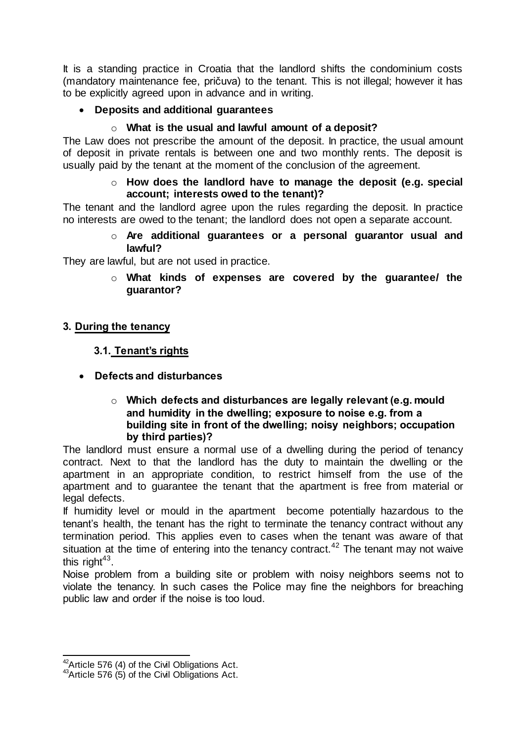It is a standing practice in Croatia that the landlord shifts the condominium costs (mandatory maintenance fee, pričuva) to the tenant. This is not illegal; however it has to be explicitly agreed upon in advance and in writing.

## **Deposits and additional guarantees**

## o **What is the usual and lawful amount of a deposit?**

The Law does not prescribe the amount of the deposit. In practice, the usual amount of deposit in private rentals is between one and two monthly rents. The deposit is usually paid by the tenant at the moment of the conclusion of the agreement.

#### o **How does the landlord have to manage the deposit (e.g. special account; interests owed to the tenant)?**

The tenant and the landlord agree upon the rules regarding the deposit. In practice no interests are owed to the tenant; the landlord does not open a separate account.

## o **Are additional guarantees or a personal guarantor usual and lawful?**

They are lawful, but are not used in practice.

o **What kinds of expenses are covered by the guarantee/ the guarantor?** 

## **3. During the tenancy**

## **3.1. Tenant's rights**

**Defects and disturbances** 

## o **Which defects and disturbances are legally relevant (e.g. mould and humidity in the dwelling; exposure to noise e.g. from a building site in front of the dwelling; noisy neighbors; occupation by third parties)?**

The landlord must ensure a normal use of a dwelling during the period of tenancy contract. Next to that the landlord has the duty to maintain the dwelling or the apartment in an appropriate condition, to restrict himself from the use of the apartment and to guarantee the tenant that the apartment is free from material or legal defects.

If humidity level or mould in the apartment become potentially hazardous to the tenant's health, the tenant has the right to terminate the tenancy contract without any termination period. This applies even to cases when the tenant was aware of that situation at the time of entering into the tenancy contract.<sup>42</sup> The tenant may not waive this right $43$ .

Noise problem from a building site or problem with noisy neighbors seems not to violate the tenancy. In such cases the Police may fine the neighbors for breaching public law and order if the noise is too loud.

<sup>-</sup> $42$ Article 576 (4) of the Civil Obligations Act.

 $43$ Article 576 (5) of the Civil Obligations Act.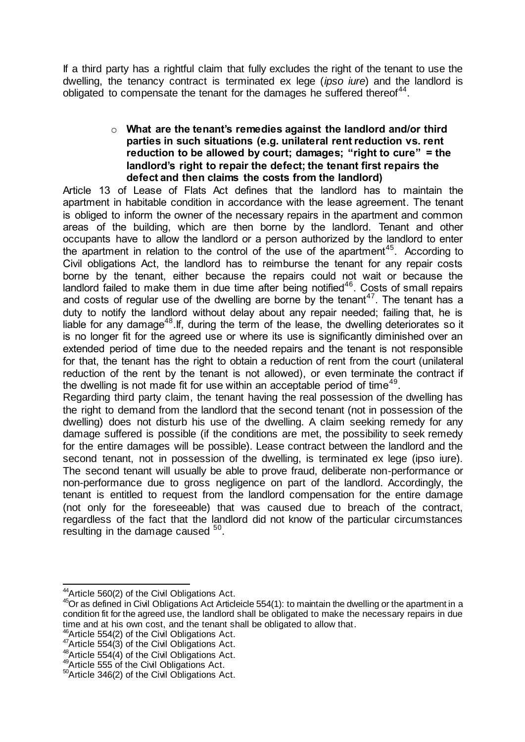If a third party has a rightful claim that fully excludes the right of the tenant to use the dwelling, the tenancy contract is terminated ex lege (*ipso iure*) and the landlord is obligated to compensate the tenant for the damages he suffered thereof $44$ .

#### o **What are the tenant's remedies against the landlord and/or third parties in such situations (e.g. unilateral rent reduction vs. rent reduction to be allowed by court; damages; "right to cure" = the landlord's right to repair the defect; the tenant first repairs the defect and then claims the costs from the landlord)**

Article 13 of Lease of Flats Act defines that the landlord has to maintain the apartment in habitable condition in accordance with the lease agreement. The tenant is obliged to inform the owner of the necessary repairs in the apartment and common areas of the building, which are then borne by the landlord. Tenant and other occupants have to allow the landlord or a person authorized by the landlord to enter the apartment in relation to the control of the use of the apartment<sup>45</sup>. According to Civil obligations Act, the landlord has to reimburse the tenant for any repair costs borne by the tenant, either because the repairs could not wait or because the landlord failed to make them in due time after being notified<sup>46</sup>. Costs of small repairs and costs of regular use of the dwelling are borne by the tenant<sup>47</sup>. The tenant has a duty to notify the landlord without delay about any repair needed; failing that, he is liable for any damage<sup>48</sup>. If, during the term of the lease, the dwelling deteriorates so it is no longer fit for the agreed use or where its use is significantly diminished over an extended period of time due to the needed repairs and the tenant is not responsible for that, the tenant has the right to obtain a reduction of rent from the court (unilateral reduction of the rent by the tenant is not allowed), or even terminate the contract if the dwelling is not made fit for use within an acceptable period of time<sup>49</sup>.

Regarding third party claim, the tenant having the real possession of the dwelling has the right to demand from the landlord that the second tenant (not in possession of the dwelling) does not disturb his use of the dwelling. A claim seeking remedy for any damage suffered is possible (if the conditions are met, the possibility to seek remedy for the entire damages will be possible). Lease contract between the landlord and the second tenant, not in possession of the dwelling, is terminated ex lege (ipso jure). The second tenant will usually be able to prove fraud, deliberate non-performance or non-performance due to gross negligence on part of the landlord. Accordingly, the tenant is entitled to request from the landlord compensation for the entire damage (not only for the foreseeable) that was caused due to breach of the contract, regardless of the fact that the landlord did not know of the particular circumstances resulting in the damage caused  $50$ .

<sup>46</sup> Article 554(2) of the Civil Obligations Act.

 $\overline{\phantom{a}}$ <sup>44</sup> Article 560(2) of the Civil Obligations Act.

 $45$ Or as defined in Civil Obligations Act Articleicle 554(1): to maintain the dwelling or the apartment in a condition fit for the agreed use, the landlord shall be obligated to make the necessary repairs in due time and at his own cost, and the tenant shall be obligated to allow that.

 $47$ Article 554(3) of the Civil Obligations Act.

 $48$ Article 554(4) of the Civil Obligations Act.

<sup>49</sup> Article 555 of the Civil Obligations Act.

<sup>50</sup>Article 346(2) of the Civil Obligations Act.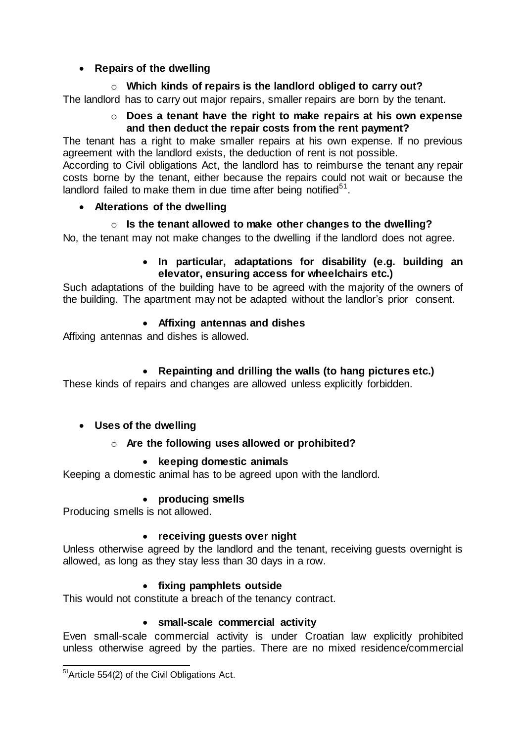## **•** Repairs of the dwelling

## o **Which kinds of repairs is the landlord obliged to carry out?**

The landlord has to carry out major repairs, smaller repairs are born by the tenant.

## o **Does a tenant have the right to make repairs at his own expense and then deduct the repair costs from the rent payment?**

The tenant has a right to make smaller repairs at his own expense. If no previous agreement with the landlord exists, the deduction of rent is not possible.

According to Civil obligations Act, the landlord has to reimburse the tenant any repair costs borne by the tenant, either because the repairs could not wait or because the landlord failed to make them in due time after being notified $51$ .

## **Alterations of the dwelling**

## o **Is the tenant allowed to make other changes to the dwelling?**

No, the tenant may not make changes to the dwelling if the landlord does not agree.

## **In particular, adaptations for disability (e.g. building an elevator, ensuring access for wheelchairs etc.)**

Such adaptations of the building have to be agreed with the majority of the owners of the building. The apartment may not be adapted without the landlor's prior consent.

## **Affixing antennas and dishes**

Affixing antennas and dishes is allowed.

## **Repainting and drilling the walls (to hang pictures etc.)**

These kinds of repairs and changes are allowed unless explicitly forbidden.

## **Uses of the dwelling**

## o **Are the following uses allowed or prohibited?**

## **keeping domestic animals**

Keeping a domestic animal has to be agreed upon with the landlord.

## **producing smells**

Producing smells is not allowed.

## **receiving guests over night**

Unless otherwise agreed by the landlord and the tenant, receiving guests overnight is allowed, as long as they stay less than 30 days in a row.

## **fixing pamphlets outside**

This would not constitute a breach of the tenancy contract.

## **small-scale commercial activity**

Even small-scale commercial activity is under Croatian law explicitly prohibited unless otherwise agreed by the parties. There are no mixed residence/commercial

<sup>-</sup><sup>51</sup> Article 554(2) of the Civil Obligations Act.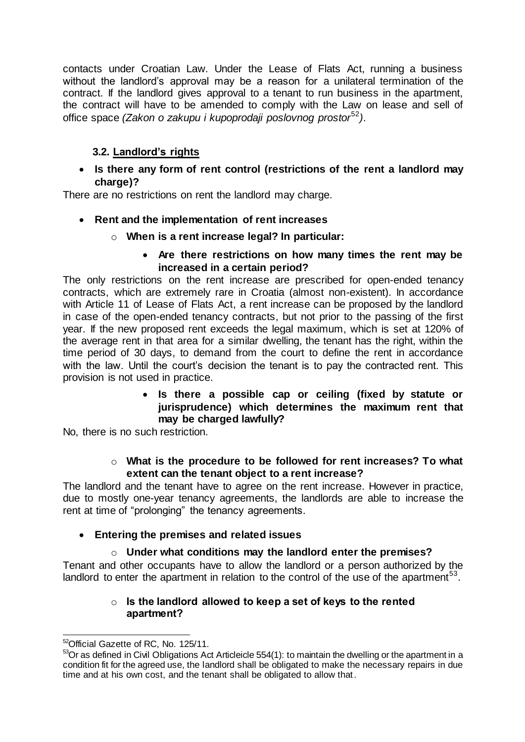contacts under Croatian Law. Under the Lease of Flats Act, running a business without the landlord's approval may be a reason for a unilateral termination of the contract. If the landlord gives approval to a tenant to run business in the apartment, the contract will have to be amended to comply with the Law on lease and sell of office space *(Zakon o zakupu i kupoprodaji poslovnog prostor*<sup>52</sup>*)*.

## **3.2. Landlord's rights**

 **Is there any form of rent control (restrictions of the rent a landlord may charge)?**

There are no restrictions on rent the landlord may charge.

- **Rent and the implementation of rent increases**
	- o **When is a rent increase legal? In particular:**

## **Are there restrictions on how many times the rent may be increased in a certain period?**

The only restrictions on the rent increase are prescribed for open-ended tenancy contracts, which are extremely rare in Croatia (almost non-existent). In accordance with Article 11 of Lease of Flats Act, a rent increase can be proposed by the landlord in case of the open-ended tenancy contracts, but not prior to the passing of the first year. If the new proposed rent exceeds the legal maximum, which is set at 120% of the average rent in that area for a similar dwelling, the tenant has the right, within the time period of 30 days, to demand from the court to define the rent in accordance with the law. Until the court's decision the tenant is to pay the contracted rent. This provision is not used in practice.

## **Is there a possible cap or ceiling (fixed by statute or jurisprudence) which determines the maximum rent that may be charged lawfully?**

No, there is no such restriction.

## o **What is the procedure to be followed for rent increases? To what extent can the tenant object to a rent increase?**

The landlord and the tenant have to agree on the rent increase. However in practice, due to mostly one-year tenancy agreements, the landlords are able to increase the rent at time of "prolonging" the tenancy agreements.

## **Entering the premises and related issues**

## o **Under what conditions may the landlord enter the premises?**

Tenant and other occupants have to allow the landlord or a person authorized by the landlord to enter the apartment in relation to the control of the use of the apartment<sup>53</sup>.

## o **Is the landlord allowed to keep a set of keys to the rented apartment?**

 $\overline{a}$ <sup>52</sup>Official Gazette of RC, No. 125/11.

<sup>53</sup>Or as defined in Civil Obligations Act Articleicle 554(1): to maintain the dwelling or the apartment in a condition fit for the agreed use, the landlord shall be obligated to make the necessary repairs in due time and at his own cost, and the tenant shall be obligated to allow that.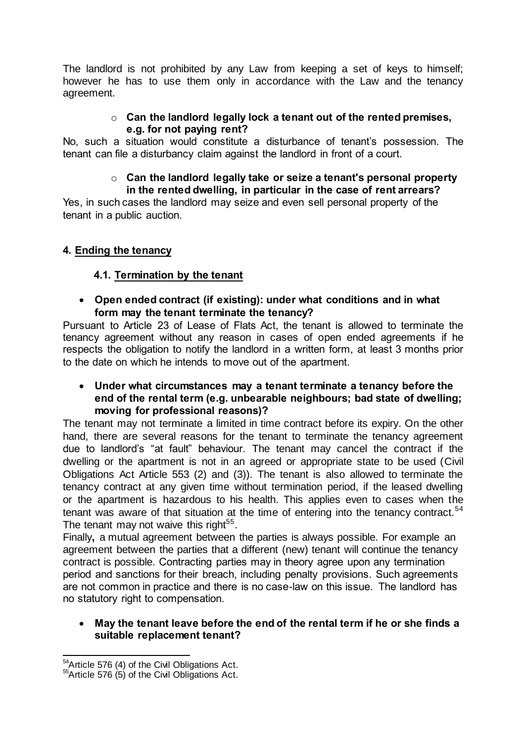The landlord is not prohibited by any Law from keeping a set of keys to himself; however he has to use them only in accordance with the Law and the tenancy agreement.

## o **Can the landlord legally lock a tenant out of the rented premises, e.g. for not paying rent?**

No, such a situation would constitute a disturbance of tenant's possession. The tenant can file a disturbancy claim against the landlord in front of a court.

#### o **Can the landlord legally take or seize a tenant's personal property in the rented dwelling, in particular in the case of rent arrears?**

Yes, in such cases the landlord may seize and even sell personal property of the tenant in a public auction.

## **4. Ending the tenancy**

## **4.1. Termination by the tenant**

 **Open ended contract (if existing): under what conditions and in what form may the tenant terminate the tenancy?**

Pursuant to Article 23 of Lease of Flats Act, the tenant is allowed to terminate the tenancy agreement without any reason in cases of open ended agreements if he respects the obligation to notify the landlord in a written form, at least 3 months prior to the date on which he intends to move out of the apartment.

 **Under what circumstances may a tenant terminate a tenancy before the end of the rental term (e.g. unbearable neighbours; bad state of dwelling; moving for professional reasons)?**

The tenant may not terminate a limited in time contract before its expiry. On the other hand, there are several reasons for the tenant to terminate the tenancy agreement due to landlord's "at fault" behaviour. The tenant may cancel the contract if the dwelling or the apartment is not in an agreed or appropriate state to be used (Civil Obligations Act Article 553 (2) and (3)). The tenant is also allowed to terminate the tenancy contract at any given time without termination period, if the leased dwelling or the apartment is hazardous to his health. This applies even to cases when the tenant was aware of that situation at the time of entering into the tenancy contract.<sup>54</sup> The tenant may not waive this right<sup>55</sup>.

Finally**,** a mutual agreement between the parties is always possible. For example an agreement between the parties that a different (new) tenant will continue the tenancy contract is possible. Contracting parties may in theory agree upon any termination period and sanctions for their breach, including penalty provisions. Such agreements are not common in practice and there is no case-law on this issue. The landlord has no statutory right to compensation.

## **May the tenant leave before the end of the rental term if he or she finds a suitable replacement tenant?**

<sup>-</sup><sup>54</sup>Article 576 (4) of the Civil Obligations Act.

 $55$ Article 576 (5) of the Civil Obligations Act.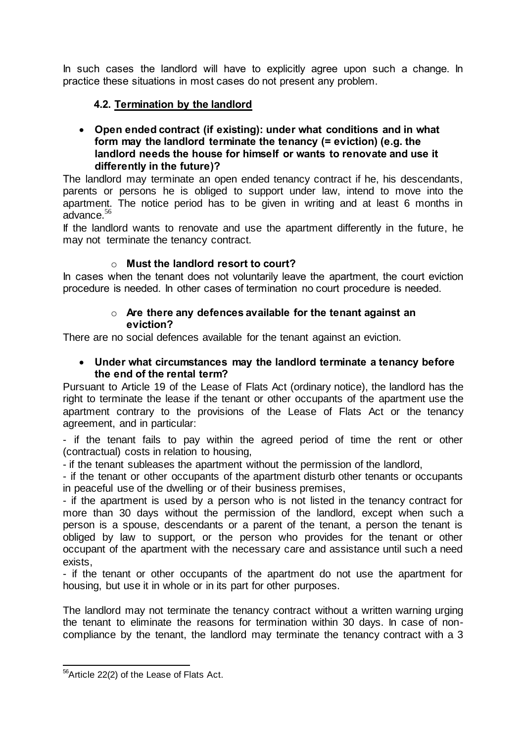In such cases the landlord will have to explicitly agree upon such a change. In practice these situations in most cases do not present any problem.

## **4.2. Termination by the landlord**

 **Open ended contract (if existing): under what conditions and in what form may the landlord terminate the tenancy (= eviction) (e.g. the landlord needs the house for himself or wants to renovate and use it differently in the future)?**

The landlord may terminate an open ended tenancy contract if he, his descendants, parents or persons he is obliged to support under law, intend to move into the apartment. The notice period has to be given in writing and at least 6 months in advance.<sup>56</sup>

If the landlord wants to renovate and use the apartment differently in the future, he may not terminate the tenancy contract.

## o **Must the landlord resort to court?**

In cases when the tenant does not voluntarily leave the apartment, the court eviction procedure is needed. In other cases of termination no court procedure is needed.

#### o **Are there any defences available for the tenant against an eviction?**

There are no social defences available for the tenant against an eviction.

## **Under what circumstances may the landlord terminate a tenancy before the end of the rental term?**

Pursuant to Article 19 of the Lease of Flats Act (ordinary notice), the landlord has the right to terminate the lease if the tenant or other occupants of the apartment use the apartment contrary to the provisions of the Lease of Flats Act or the tenancy agreement, and in particular:

- if the tenant fails to pay within the agreed period of time the rent or other (contractual) costs in relation to housing,

- if the tenant subleases the apartment without the permission of the landlord,

- if the tenant or other occupants of the apartment disturb other tenants or occupants in peaceful use of the dwelling or of their business premises,

- if the apartment is used by a person who is not listed in the tenancy contract for more than 30 days without the permission of the landlord, except when such a person is a spouse, descendants or a parent of the tenant, a person the tenant is obliged by law to support, or the person who provides for the tenant or other occupant of the apartment with the necessary care and assistance until such a need exists,

- if the tenant or other occupants of the apartment do not use the apartment for housing, but use it in whole or in its part for other purposes.

The landlord may not terminate the tenancy contract without a written warning urging the tenant to eliminate the reasons for termination within 30 days. In case of noncompliance by the tenant, the landlord may terminate the tenancy contract with a 3

<sup>-</sup><sup>56</sup>Article 22(2) of the Lease of Flats Act.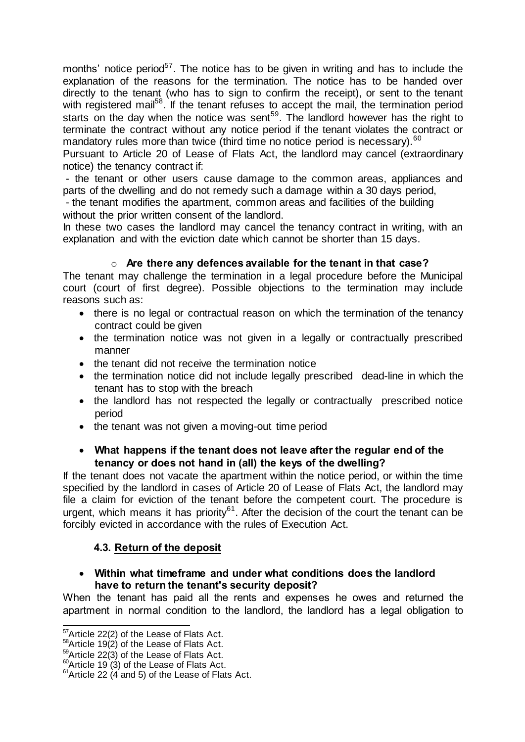months' notice period<sup>57</sup>. The notice has to be given in writing and has to include the explanation of the reasons for the termination. The notice has to be handed over directly to the tenant (who has to sign to confirm the receipt), or sent to the tenant with registered mail<sup>58</sup>. If the tenant refuses to accept the mail, the termination period starts on the day when the notice was sent<sup>59</sup>. The landlord however has the right to terminate the contract without any notice period if the tenant violates the contract or mandatory rules more than twice (third time no notice period is necessary).<sup>60</sup>

Pursuant to Article 20 of Lease of Flats Act, the landlord may cancel (extraordinary notice) the tenancy contract if:

- the tenant or other users cause damage to the common areas, appliances and parts of the dwelling and do not remedy such a damage within a 30 days period,

- the tenant modifies the apartment, common areas and facilities of the building without the prior written consent of the landlord.

In these two cases the landlord may cancel the tenancy contract in writing, with an explanation and with the eviction date which cannot be shorter than 15 days.

## o **Are there any defences available for the tenant in that case?**

The tenant may challenge the termination in a legal procedure before the Municipal court (court of first degree). Possible objections to the termination may include reasons such as:

- there is no legal or contractual reason on which the termination of the tenancy contract could be given
- the termination notice was not given in a legally or contractually prescribed manner
- the tenant did not receive the termination notice
- the termination notice did not include legally prescribed dead-line in which the tenant has to stop with the breach
- the landlord has not respected the legally or contractually prescribed notice period
- the tenant was not given a moving-out time period

## **What happens if the tenant does not leave after the regular end of the tenancy or does not hand in (all) the keys of the dwelling?**

If the tenant does not vacate the apartment within the notice period, or within the time specified by the landlord in cases of Article 20 of Lease of Flats Act, the landlord may file a claim for eviction of the tenant before the competent court. The procedure is urgent, which means it has priority<sup>61</sup>. After the decision of the court the tenant can be forcibly evicted in accordance with the rules of Execution Act.

## **4.3. Return of the deposit**

#### **Within what timeframe and under what conditions does the landlord have to return the tenant's security deposit?**

When the tenant has paid all the rents and expenses he owes and returned the apartment in normal condition to the landlord, the landlord has a legal obligation to

 $\overline{a}$ <sup>57</sup>Article 22(2) of the Lease of Flats Act.

 $58$ Article 19(2) of the Lease of Flats Act.

 $59$ Article 22(3) of the Lease of Flats Act.

 $^{60}$ Article 19 (3) of the Lease of Flats Act.

 $61$ Article 22 (4 and 5) of the Lease of Flats Act.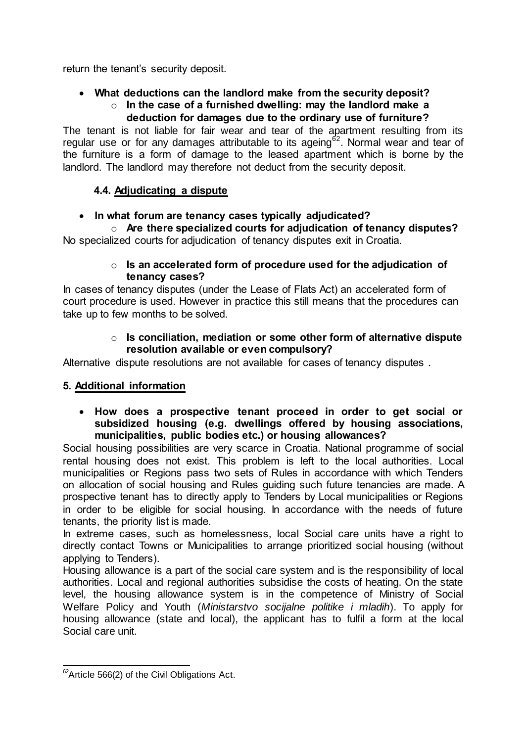return the tenant's security deposit.

#### **What deductions can the landlord make from the security deposit?** o **In the case of a furnished dwelling: may the landlord make a deduction for damages due to the ordinary use of furniture?**

The tenant is not liable for fair wear and tear of the apartment resulting from its regular use or for any damages attributable to its ageing<sup>62</sup>. Normal wear and tear of the furniture is a form of damage to the leased apartment which is borne by the landlord. The landlord may therefore not deduct from the security deposit.

## **4.4. Adjudicating a dispute**

## **In what forum are tenancy cases typically adjudicated?**

o **Are there specialized courts for adjudication of tenancy disputes?**  No specialized courts for adjudication of tenancy disputes exit in Croatia.

#### o **Is an accelerated form of procedure used for the adjudication of tenancy cases?**

In cases of tenancy disputes (under the Lease of Flats Act) an accelerated form of court procedure is used. However in practice this still means that the procedures can take up to few months to be solved.

#### o **Is conciliation, mediation or some other form of alternative dispute resolution available or even compulsory?**

Alternative dispute resolutions are not available for cases of tenancy disputes .

## **5. Additional information**

#### **How does a prospective tenant proceed in order to get social or subsidized housing (e.g. dwellings offered by housing associations, municipalities, public bodies etc.) or housing allowances?**

Social housing possibilities are very scarce in Croatia. National programme of social rental housing does not exist. This problem is left to the local authorities. Local municipalities or Regions pass two sets of Rules in accordance with which Tenders on allocation of social housing and Rules guiding such future tenancies are made. A prospective tenant has to directly apply to Tenders by Local municipalities or Regions in order to be eligible for social housing. In accordance with the needs of future tenants, the priority list is made.

In extreme cases, such as homelessness, local Social care units have a right to directly contact Towns or Municipalities to arrange prioritized social housing (without applying to Tenders).

Housing allowance is a part of the social care system and is the responsibility of local authorities. Local and regional authorities subsidise the costs of heating. On the state level, the housing allowance system is in the competence of Ministry of Social Welfare Policy and Youth (*[Ministarstvo socijalne politike i mladih](http://www.vlada.hr/hr/adresar_i_linkovi/ministarstva/ministarstvo_socijalne_politike_i_mladih)*). To apply for housing allowance (state and local), the applicant has to fulfil a form at the local Social care unit.

<sup>-</sup> $62$ Article 566(2) of the Civil Obligations Act.